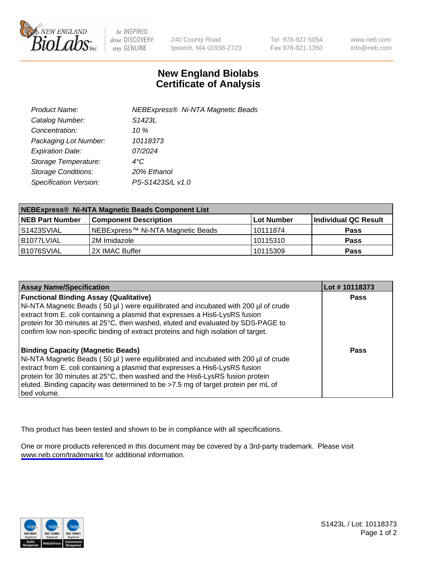

be INSPIRED drive DISCOVERY stay GENUINE

240 County Road Ipswich, MA 01938-2723 Tel 978-927-5054 Fax 978-921-1350

www.neb.com info@neb.com

## **New England Biolabs Certificate of Analysis**

| Product Name:              | <b>NEBExpress® Ni-NTA Magnetic Beads</b> |
|----------------------------|------------------------------------------|
| Catalog Number:            | S <sub>1423</sub> L                      |
| Concentration:             | 10 $\%$                                  |
| Packaging Lot Number:      | 10118373                                 |
| <b>Expiration Date:</b>    | 07/2024                                  |
| Storage Temperature:       | $4^{\circ}$ C                            |
| <b>Storage Conditions:</b> | 20% Ethanol                              |
| Specification Version:     | PS-S1423S/L v1.0                         |
|                            |                                          |

| NEBExpress® Ni-NTA Magnetic Beads Component List |                                   |            |                      |  |
|--------------------------------------------------|-----------------------------------|------------|----------------------|--|
| <b>NEB Part Number</b>                           | <b>Component Description</b>      | Lot Number | Individual QC Result |  |
| IS1423SVIAL                                      | NEBExpress™ Ni-NTA Magnetic Beads | l 10111874 | <b>Pass</b>          |  |
| B1077LVIAL                                       | l 2M Imidazole.                   | 10115310   | <b>Pass</b>          |  |
| B1076SVIAL                                       | I2X IMAC Buffer                   | 10115309   | <b>Pass</b>          |  |

| <b>Assay Name/Specification</b>                                                                                                                                                                                                                                                                                                                                                                     | Lot #10118373 |
|-----------------------------------------------------------------------------------------------------------------------------------------------------------------------------------------------------------------------------------------------------------------------------------------------------------------------------------------------------------------------------------------------------|---------------|
| <b>Functional Binding Assay (Qualitative)</b><br>Ni-NTA Magnetic Beads (50 µl) were equilibrated and incubated with 200 µl of crude<br>extract from E. coli containing a plasmid that expresses a His6-LysRS fusion<br>protein for 30 minutes at 25°C, then washed, eluted and evaluated by SDS-PAGE to<br>confirm low non-specific binding of extract proteins and high isolation of target.       | <b>Pass</b>   |
| <b>Binding Capacity (Magnetic Beads)</b><br>Ni-NTA Magnetic Beads (50 µl) were equilibrated and incubated with 200 µl of crude<br>extract from E. coli containing a plasmid that expresses a His6-LysRS fusion<br>protein for 30 minutes at 25°C, then washed and the His6-LysRS fusion protein<br>eluted. Binding capacity was determined to be >7.5 mg of target protein per mL of<br>bed volume. | Pass          |

This product has been tested and shown to be in compliance with all specifications.

One or more products referenced in this document may be covered by a 3rd-party trademark. Please visit <www.neb.com/trademarks>for additional information.